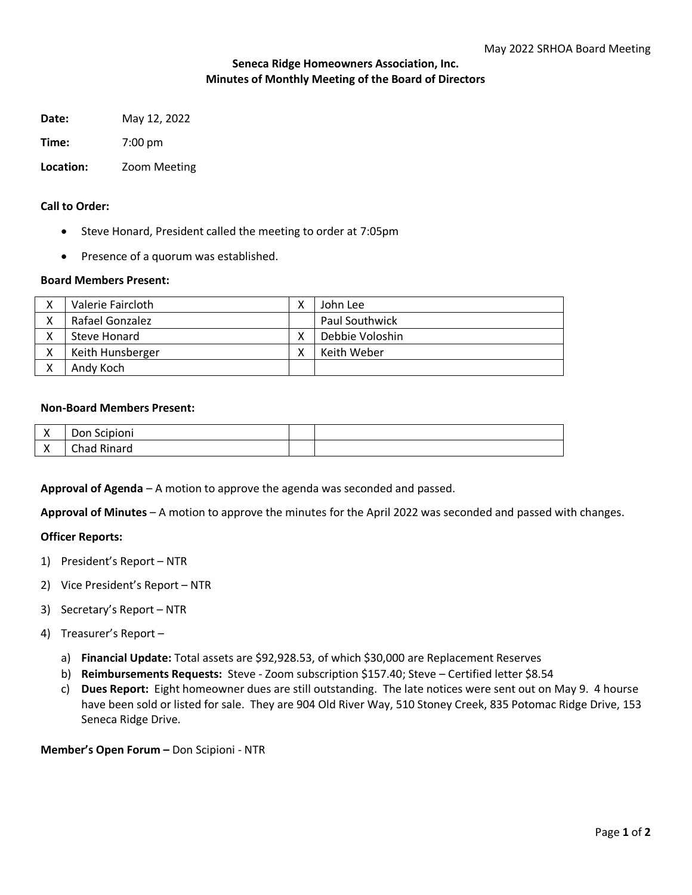# **Seneca Ridge Homeowners Association, Inc. Minutes of Monthly Meeting of the Board of Directors**

**Date:** May 12, 2022

**Time:** 7:00 pm

**Location:** Zoom Meeting

# **Call to Order:**

- Steve Honard, President called the meeting to order at 7:05pm
- Presence of a quorum was established.

### **Board Members Present:**

|   | Valerie Faircloth | v | John Lee              |
|---|-------------------|---|-----------------------|
| v | Rafael Gonzalez   |   | <b>Paul Southwick</b> |
|   | Steve Honard      | v | Debbie Voloshin       |
|   | Keith Hunsberger  |   | Keith Weber           |
|   | Andy Koch         |   |                       |

#### **Non-Board Members Present:**

| $\lambda$<br>$\lambda$ | Don<br>.<br>UHI<br>ı<br>◡ |  |
|------------------------|---------------------------|--|
| $\lambda$<br>$\cdots$  | $\sim$ $\sim$<br>n:       |  |

**Approval of Agenda** – A motion to approve the agenda was seconded and passed.

**Approval of Minutes** – A motion to approve the minutes for the April 2022 was seconded and passed with changes.

### **Officer Reports:**

- 1) President's Report NTR
- 2) Vice President's Report NTR
- 3) Secretary's Report NTR
- 4) Treasurer's Report
	- a) **Financial Update:** Total assets are \$92,928.53, of which \$30,000 are Replacement Reserves
	- b) **Reimbursements Requests:** Steve Zoom subscription \$157.40; Steve Certified letter \$8.54
	- c) **Dues Report:** Eight homeowner dues are still outstanding.The late notices were sent out on May 9. 4 hourse have been sold or listed for sale. They are 904 Old River Way, 510 Stoney Creek, 835 Potomac Ridge Drive, 153 Seneca Ridge Drive.

**Member's Open Forum –** Don Scipioni - NTR